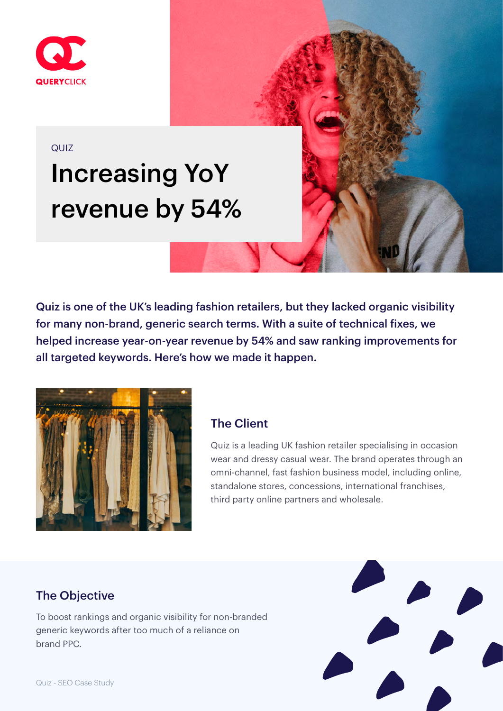

#### QUIZ

# Increasing YoY revenue by 54%

Quiz is one of the UK's leading fashion retailers, but they lacked organic visibility for many non-brand, generic search terms. With a suite of technical fixes, we helped increase year-on-year revenue by 54% and saw ranking improvements for all targeted keywords. Here's how we made it happen.



#### The Client

Quiz is a leading UK fashion retailer specialising in occasion wear and dressy casual wear. The brand operates through an omni-channel, fast fashion business model, including online, standalone stores, concessions, international franchises, third party online partners and wholesale.

## The Objective

To boost rankings and organic visibility for non-branded generic keywords after too much of a reliance on brand PPC.